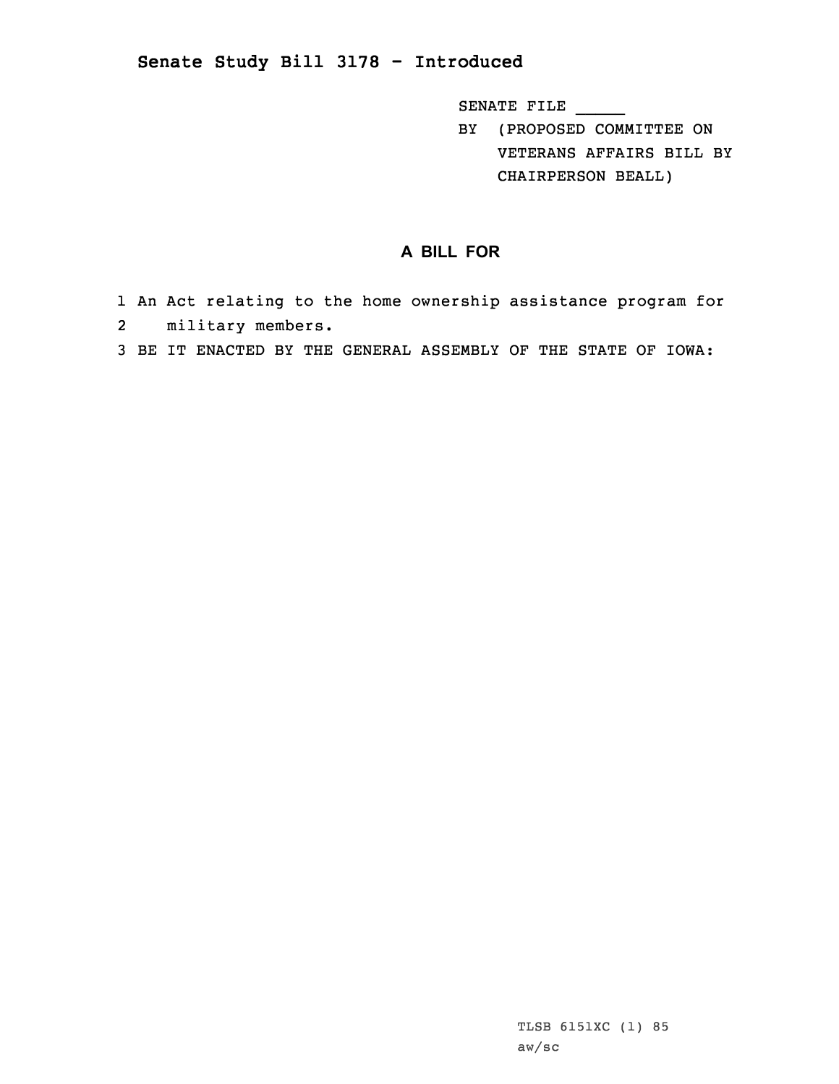## **Senate Study Bill 3178 - Introduced**

SENATE FILE \_\_\_\_\_

BY (PROPOSED COMMITTEE ON VETERANS AFFAIRS BILL BY CHAIRPERSON BEALL)

## **A BILL FOR**

- 1 An Act relating to the home ownership assistance program for 2military members.
- 3 BE IT ENACTED BY THE GENERAL ASSEMBLY OF THE STATE OF IOWA: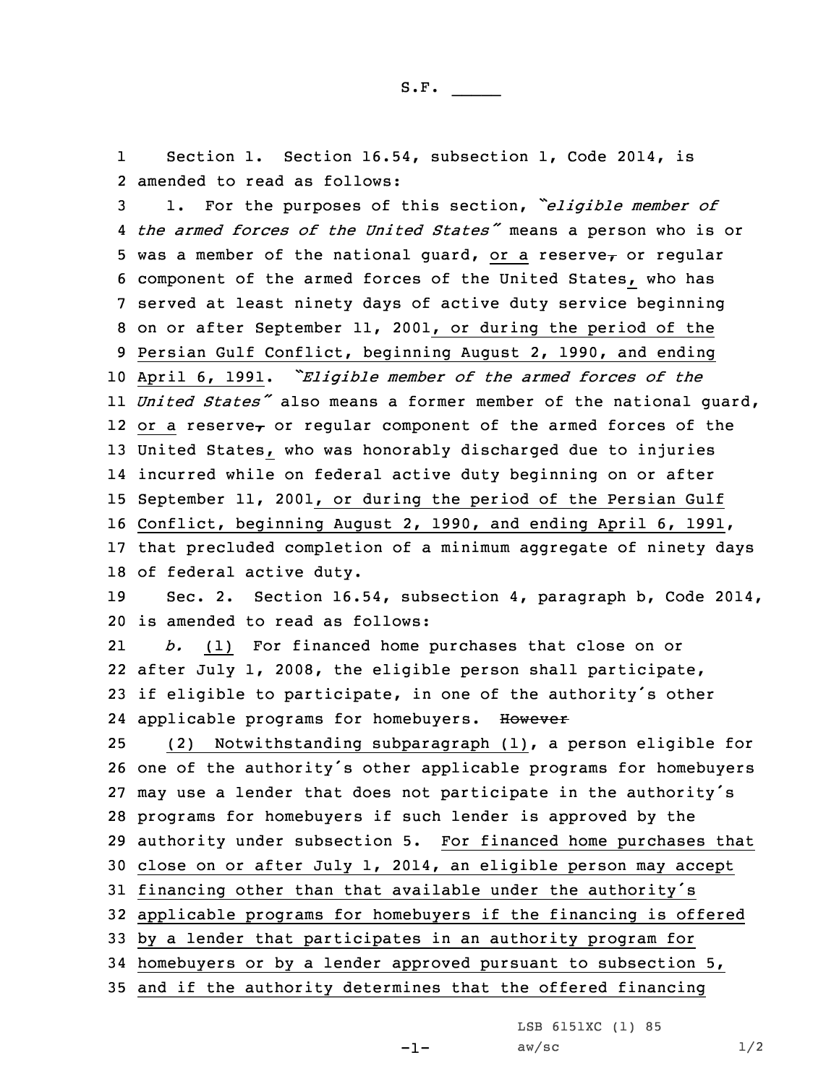1 Section 1. Section 16.54, subsection 1, Code 2014, is 2 amended to read as follows:

 1. For the purposes of this section, *"eligible member of the armed forces of the United States"* means <sup>a</sup> person who is or 5 was a member of the national guard, or a reserve<sub> $\tau$ </sub> or regular component of the armed forces of the United States, who has served at least ninety days of active duty service beginning on or after September 11, 2001, or during the period of the Persian Gulf Conflict, beginning August 2, 1990, and ending April 6, 1991. *"Eligible member of the armed forces of the United States"* also means <sup>a</sup> former member of the national guard, 12 or a reserve $_{\bm{\tau}}$  or regular component of the armed forces of the United States, who was honorably discharged due to injuries incurred while on federal active duty beginning on or after September 11, 2001, or during the period of the Persian Gulf Conflict, beginning August 2, 1990, and ending April 6, 1991, that precluded completion of <sup>a</sup> minimum aggregate of ninety days of federal active duty. Sec. 2. Section 16.54, subsection 4, paragraph b, Code 2014, is amended to read as follows: 21 *b.* (1) For financed home purchases that close on or after July 1, 2008, the eligible person shall participate, if eligible to participate, in one of the authority's other 24 applicable programs for homebuyers. However (2) Notwithstanding subparagraph (1), <sup>a</sup> person eligible for one of the authority's other applicable programs for homebuyers may use <sup>a</sup> lender that does not participate in the authority's programs for homebuyers if such lender is approved by the authority under subsection 5. For financed home purchases that close on or after July 1, 2014, an eligible person may accept financing other than that available under the authority's applicable programs for homebuyers if the financing is offered by <sup>a</sup> lender that participates in an authority program for homebuyers or by <sup>a</sup> lender approved pursuant to subsection 5, and if the authority determines that the offered financing

LSB 6151XC (1) 85

 $aw/sec$  1/2